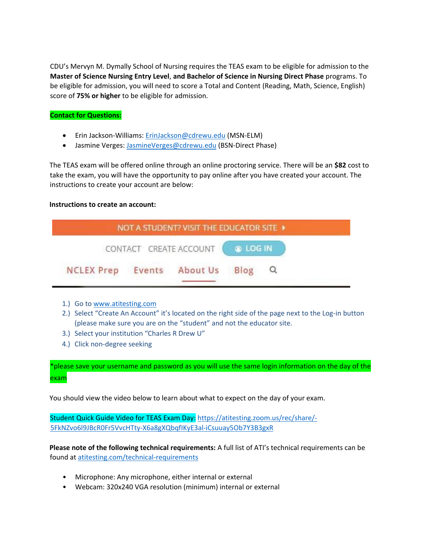CDU's Mervyn M. Dymally School of Nursing requires the TEAS exam to be eligible for admission to the **Master of Science Nursing Entry Level**, **and Bachelor of Science in Nursing Direct Phase** programs. To be eligible for admission, you will need to score a Total and Content (Reading, Math, Science, English) score of **75% or higher** to be eligible for admission.

## **Contact for Questions:**

- Erin Jackson-Williams: [ErinJackson@cdrewu.edu](mailto:ErinJackson@cdrewu.edu) (MSN-ELM)
- Jasmine Verges: [JasmineVerges@cdrewu.edu](mailto:JasmineVerges@cdrewu.edu) (BSN-Direct Phase)

The TEAS exam will be offered online through an online proctoring service. There will be an **\$82** cost to take the exam, you will have the opportunity to pay online after you have created your account. The instructions to create your account are below:

## **Instructions to create an account:**



- 1.) Go to [www.atitesting.com](https://linkprotect.cudasvc.com/url?a=http%3a%2f%2fwww.atitesting.com&c=E,1,nXHkBr90AE47QJ9I5XLD6NipKVcbCkKpt9wczOUph5M9PUm1aOnY_j3EFkvc5ni13ax_70xHkcSeqLVn_fr0Nyy5qNsK3FOJd6UjkRaT7pupndGgW8qRLsMk&typo=1)
- 2.) Select "Create An Account" it's located on the right side of the page next to the Log-in button (please make sure you are on the "student" and not the educator site.
- 3.) Select your institution "Charles R Drew U"
- 4.) Click non-degree seeking

\*please save your username and password as you will use the same login information on the day of the exam

You should view the video below to learn about what to expect on the day of your exam.

Student Quick Guide Video for TEAS Exam Day[:](https://atitesting.zoom.us/rec/share/-5FkNZvo6l9JBc-R0Fr5VvcHTty-X6a8gXQbqfIKyE3al-iCsuuay5Ob7Y3B3gxR) [https://atitesting.zoom.us/rec/share/-](https://atitesting.zoom.us/rec/share/-5FkNZvo6l9JBc-R0Fr5VvcHTty-X6a8gXQbqfIKyE3al-iCsuuay5Ob7Y3B3gxR) [5FkNZvo6l9JBcR0Fr5VvcHTty-X6a8gXQbqfIKyE3al-iCsuuay5Ob7Y3B3gxR](https://atitesting.zoom.us/rec/share/-5FkNZvo6l9JBc-R0Fr5VvcHTty-X6a8gXQbqfIKyE3al-iCsuuay5Ob7Y3B3gxR)

**Please note of the following technical requirements:** A full list of ATI's technical requirements can be found at [atitesting.com/technical-requirements](https://atitesting.com/technical-requirements)

- Microphone: Any microphone, either internal or external
- Webcam: 320x240 VGA resolution (minimum) internal or external